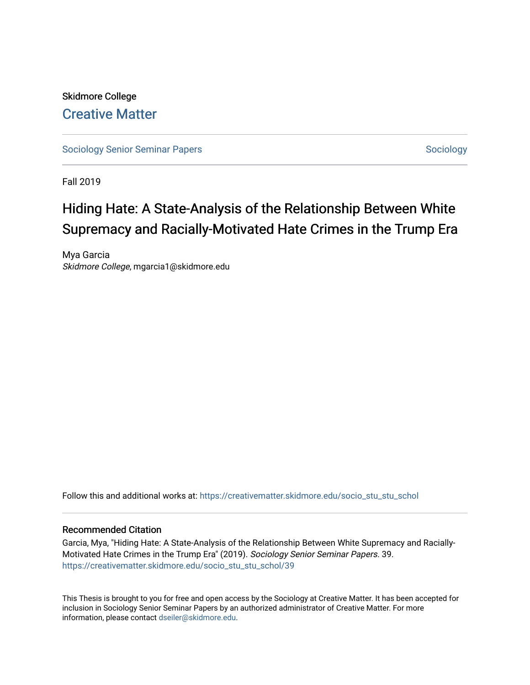# Skidmore College [Creative Matter](https://creativematter.skidmore.edu/)

[Sociology Senior Seminar Papers](https://creativematter.skidmore.edu/socio_stu_stu_schol) [Sociology](https://creativematter.skidmore.edu/stu_schol_socio_stu) Senior Seminar Papers Sociology

Fall 2019

# Hiding Hate: A State-Analysis of the Relationship Between White Supremacy and Racially-Motivated Hate Crimes in the Trump Era

Mya Garcia Skidmore College, mgarcia1@skidmore.edu

Follow this and additional works at: [https://creativematter.skidmore.edu/socio\\_stu\\_stu\\_schol](https://creativematter.skidmore.edu/socio_stu_stu_schol?utm_source=creativematter.skidmore.edu%2Fsocio_stu_stu_schol%2F39&utm_medium=PDF&utm_campaign=PDFCoverPages) 

# Recommended Citation

Garcia, Mya, "Hiding Hate: A State-Analysis of the Relationship Between White Supremacy and Racially-Motivated Hate Crimes in the Trump Era" (2019). Sociology Senior Seminar Papers. 39. [https://creativematter.skidmore.edu/socio\\_stu\\_stu\\_schol/39](https://creativematter.skidmore.edu/socio_stu_stu_schol/39?utm_source=creativematter.skidmore.edu%2Fsocio_stu_stu_schol%2F39&utm_medium=PDF&utm_campaign=PDFCoverPages)

This Thesis is brought to you for free and open access by the Sociology at Creative Matter. It has been accepted for inclusion in Sociology Senior Seminar Papers by an authorized administrator of Creative Matter. For more information, please contact [dseiler@skidmore.edu.](mailto:dseiler@skidmore.edu)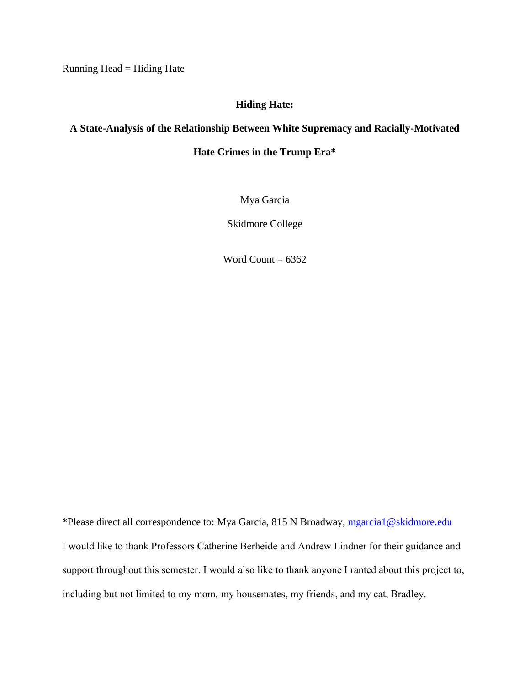Running Head = Hiding Hate

# **Hiding Hate:**

# **A State-Analysis of the Relationship Between White Supremacy and Racially-Motivated**

**Hate Crimes in the Trump Era\***

Mya Garcia

Skidmore College

Word Count =  $6362$ 

\*Please direct all correspondence to: Mya Garcia, 815 N Broadway, [mgarcia1@skidmore.edu](mailto:mgarcia1@skidmore.edu) I would like to thank Professors Catherine Berheide and Andrew Lindner for their guidance and support throughout this semester. I would also like to thank anyone I ranted about this project to, including but not limited to my mom, my housemates, my friends, and my cat, Bradley.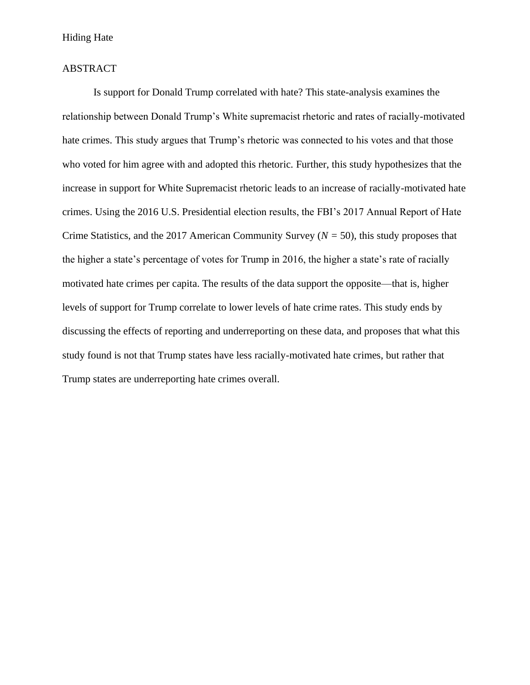# Hiding Hate

# ABSTRACT

Is support for Donald Trump correlated with hate? This state-analysis examines the relationship between Donald Trump's White supremacist rhetoric and rates of racially-motivated hate crimes. This study argues that Trump's rhetoric was connected to his votes and that those who voted for him agree with and adopted this rhetoric. Further, this study hypothesizes that the increase in support for White Supremacist rhetoric leads to an increase of racially-motivated hate crimes. Using the 2016 U.S. Presidential election results, the FBI's 2017 Annual Report of Hate Crime Statistics, and the 2017 American Community Survey (*N =* 50), this study proposes that the higher a state's percentage of votes for Trump in 2016, the higher a state's rate of racially motivated hate crimes per capita. The results of the data support the opposite—that is, higher levels of support for Trump correlate to lower levels of hate crime rates. This study ends by discussing the effects of reporting and underreporting on these data, and proposes that what this study found is not that Trump states have less racially-motivated hate crimes, but rather that Trump states are underreporting hate crimes overall.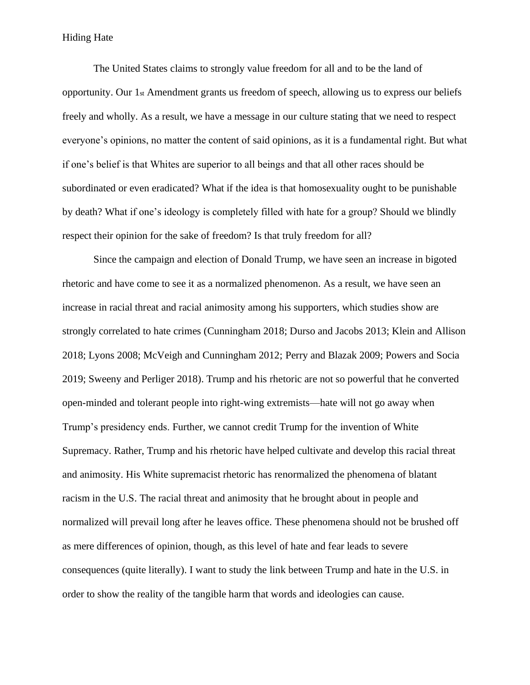# Hiding Hate

The United States claims to strongly value freedom for all and to be the land of opportunity. Our 1st Amendment grants us freedom of speech, allowing us to express our beliefs freely and wholly. As a result, we have a message in our culture stating that we need to respect everyone's opinions, no matter the content of said opinions, as it is a fundamental right. But what if one's belief is that Whites are superior to all beings and that all other races should be subordinated or even eradicated? What if the idea is that homosexuality ought to be punishable by death? What if one's ideology is completely filled with hate for a group? Should we blindly respect their opinion for the sake of freedom? Is that truly freedom for all?

Since the campaign and election of Donald Trump, we have seen an increase in bigoted rhetoric and have come to see it as a normalized phenomenon. As a result, we have seen an increase in racial threat and racial animosity among his supporters, which studies show are strongly correlated to hate crimes (Cunningham 2018; Durso and Jacobs 2013; Klein and Allison 2018; Lyons 2008; McVeigh and Cunningham 2012; Perry and Blazak 2009; Powers and Socia 2019; Sweeny and Perliger 2018). Trump and his rhetoric are not so powerful that he converted open-minded and tolerant people into right-wing extremists—hate will not go away when Trump's presidency ends. Further, we cannot credit Trump for the invention of White Supremacy. Rather, Trump and his rhetoric have helped cultivate and develop this racial threat and animosity. His White supremacist rhetoric has renormalized the phenomena of blatant racism in the U.S. The racial threat and animosity that he brought about in people and normalized will prevail long after he leaves office. These phenomena should not be brushed off as mere differences of opinion, though, as this level of hate and fear leads to severe consequences (quite literally). I want to study the link between Trump and hate in the U.S. in order to show the reality of the tangible harm that words and ideologies can cause.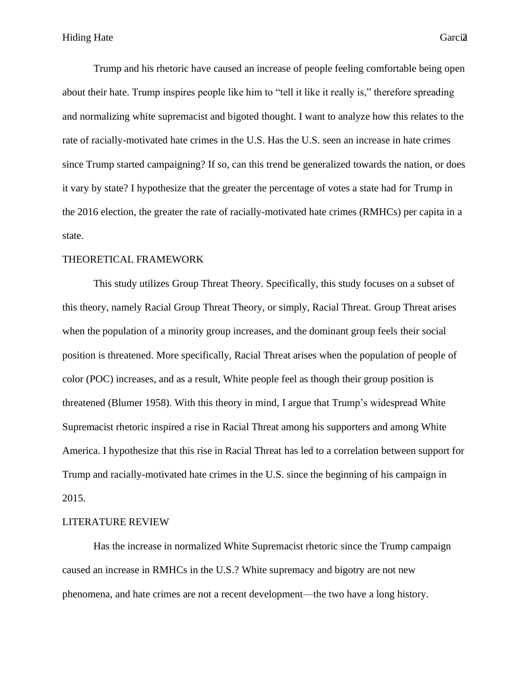Trump and his rhetoric have caused an increase of people feeling comfortable being open about their hate. Trump inspires people like him to "tell it like it really is," therefore spreading and normalizing white supremacist and bigoted thought. I want to analyze how this relates to the rate of racially-motivated hate crimes in the U.S. Has the U.S. seen an increase in hate crimes since Trump started campaigning? If so, can this trend be generalized towards the nation, or does it vary by state? I hypothesize that the greater the percentage of votes a state had for Trump in the 2016 election, the greater the rate of racially-motivated hate crimes (RMHCs) per capita in a state.

# THEORETICAL FRAMEWORK

This study utilizes Group Threat Theory. Specifically, this study focuses on a subset of this theory, namely Racial Group Threat Theory, or simply, Racial Threat. Group Threat arises when the population of a minority group increases, and the dominant group feels their social position is threatened. More specifically, Racial Threat arises when the population of people of color (POC) increases, and as a result, White people feel as though their group position is threatened (Blumer 1958). With this theory in mind, I argue that Trump's widespread White Supremacist rhetoric inspired a rise in Racial Threat among his supporters and among White America. I hypothesize that this rise in Racial Threat has led to a correlation between support for Trump and racially-motivated hate crimes in the U.S. since the beginning of his campaign in 2015.

#### LITERATURE REVIEW

Has the increase in normalized White Supremacist rhetoric since the Trump campaign caused an increase in RMHCs in the U.S.? White supremacy and bigotry are not new phenomena, and hate crimes are not a recent development—the two have a long history.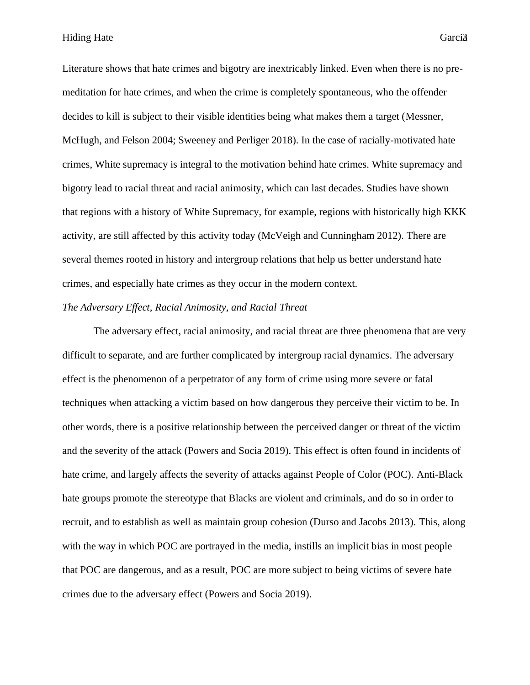Literature shows that hate crimes and bigotry are inextricably linked. Even when there is no premeditation for hate crimes, and when the crime is completely spontaneous, who the offender decides to kill is subject to their visible identities being what makes them a target (Messner, McHugh, and Felson 2004; Sweeney and Perliger 2018). In the case of racially-motivated hate crimes, White supremacy is integral to the motivation behind hate crimes. White supremacy and bigotry lead to racial threat and racial animosity, which can last decades. Studies have shown that regions with a history of White Supremacy, for example, regions with historically high KKK activity, are still affected by this activity today (McVeigh and Cunningham 2012). There are several themes rooted in history and intergroup relations that help us better understand hate crimes, and especially hate crimes as they occur in the modern context.

# *The Adversary Effect, Racial Animosity, and Racial Threat*

The adversary effect, racial animosity, and racial threat are three phenomena that are very difficult to separate, and are further complicated by intergroup racial dynamics. The adversary effect is the phenomenon of a perpetrator of any form of crime using more severe or fatal techniques when attacking a victim based on how dangerous they perceive their victim to be. In other words, there is a positive relationship between the perceived danger or threat of the victim and the severity of the attack (Powers and Socia 2019). This effect is often found in incidents of hate crime, and largely affects the severity of attacks against People of Color (POC). Anti-Black hate groups promote the stereotype that Blacks are violent and criminals, and do so in order to recruit, and to establish as well as maintain group cohesion (Durso and Jacobs 2013). This, along with the way in which POC are portrayed in the media, instills an implicit bias in most people that POC are dangerous, and as a result, POC are more subject to being victims of severe hate crimes due to the adversary effect (Powers and Socia 2019).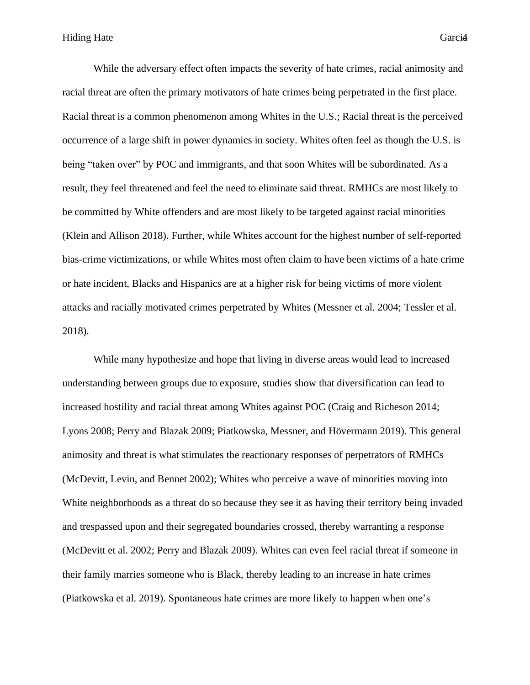While the adversary effect often impacts the severity of hate crimes, racial animosity and racial threat are often the primary motivators of hate crimes being perpetrated in the first place. Racial threat is a common phenomenon among Whites in the U.S.; Racial threat is the perceived occurrence of a large shift in power dynamics in society. Whites often feel as though the U.S. is being "taken over" by POC and immigrants, and that soon Whites will be subordinated. As a result, they feel threatened and feel the need to eliminate said threat. RMHCs are most likely to be committed by White offenders and are most likely to be targeted against racial minorities (Klein and Allison 2018). Further, while Whites account for the highest number of self-reported bias-crime victimizations, or while Whites most often claim to have been victims of a hate crime or hate incident, Blacks and Hispanics are at a higher risk for being victims of more violent attacks and racially motivated crimes perpetrated by Whites (Messner et al. 2004; Tessler et al. 2018).

While many hypothesize and hope that living in diverse areas would lead to increased understanding between groups due to exposure, studies show that diversification can lead to increased hostility and racial threat among Whites against POC (Craig and Richeson 2014; Lyons 2008; Perry and Blazak 2009; Piatkowska, Messner, and Hövermann 2019). This general animosity and threat is what stimulates the reactionary responses of perpetrators of RMHCs (McDevitt, Levin, and Bennet 2002); Whites who perceive a wave of minorities moving into White neighborhoods as a threat do so because they see it as having their territory being invaded and trespassed upon and their segregated boundaries crossed, thereby warranting a response (McDevitt et al. 2002; Perry and Blazak 2009). Whites can even feel racial threat if someone in their family marries someone who is Black, thereby leading to an increase in hate crimes (Piatkowska et al. 2019). Spontaneous hate crimes are more likely to happen when one's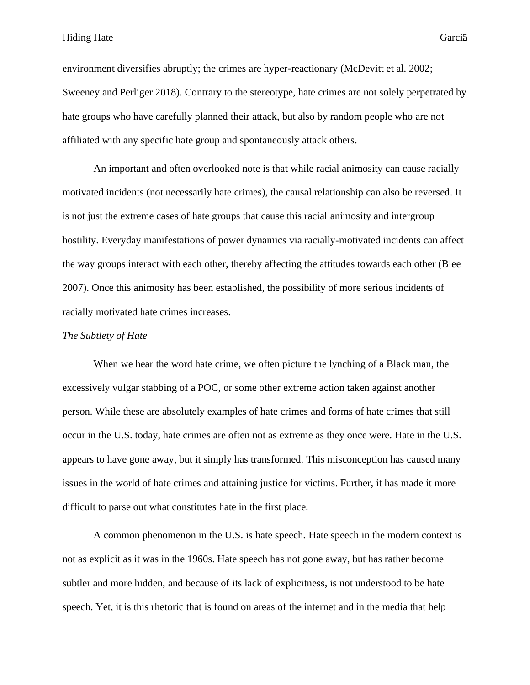environment diversifies abruptly; the crimes are hyper-reactionary (McDevitt et al. 2002; Sweeney and Perliger 2018). Contrary to the stereotype, hate crimes are not solely perpetrated by hate groups who have carefully planned their attack, but also by random people who are not affiliated with any specific hate group and spontaneously attack others.

An important and often overlooked note is that while racial animosity can cause racially motivated incidents (not necessarily hate crimes), the causal relationship can also be reversed. It is not just the extreme cases of hate groups that cause this racial animosity and intergroup hostility. Everyday manifestations of power dynamics via racially-motivated incidents can affect the way groups interact with each other, thereby affecting the attitudes towards each other (Blee 2007). Once this animosity has been established, the possibility of more serious incidents of racially motivated hate crimes increases.

#### *The Subtlety of Hate*

When we hear the word hate crime, we often picture the lynching of a Black man, the excessively vulgar stabbing of a POC, or some other extreme action taken against another person. While these are absolutely examples of hate crimes and forms of hate crimes that still occur in the U.S. today, hate crimes are often not as extreme as they once were. Hate in the U.S. appears to have gone away, but it simply has transformed. This misconception has caused many issues in the world of hate crimes and attaining justice for victims. Further, it has made it more difficult to parse out what constitutes hate in the first place.

A common phenomenon in the U.S. is hate speech. Hate speech in the modern context is not as explicit as it was in the 1960s. Hate speech has not gone away, but has rather become subtler and more hidden, and because of its lack of explicitness, is not understood to be hate speech. Yet, it is this rhetoric that is found on areas of the internet and in the media that help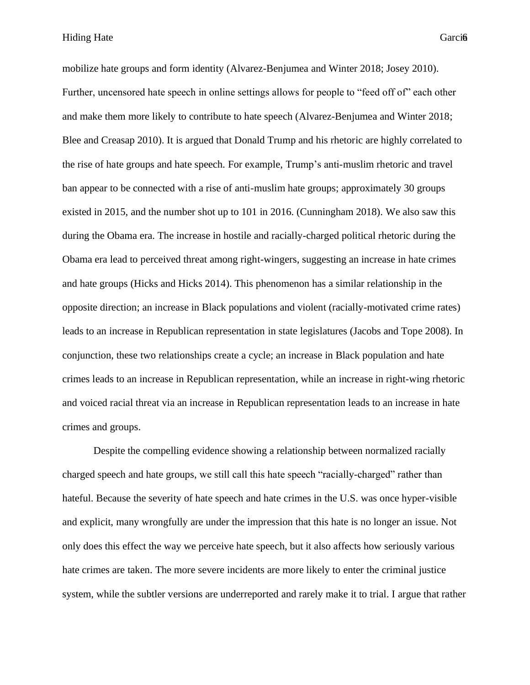Hiding Hate Garcia

mobilize hate groups and form identity (Alvarez-Benjumea and Winter 2018; Josey 2010). Further, uncensored hate speech in online settings allows for people to "feed off of" each other and make them more likely to contribute to hate speech (Alvarez-Benjumea and Winter 2018; Blee and Creasap 2010). It is argued that Donald Trump and his rhetoric are highly correlated to the rise of hate groups and hate speech. For example, Trump's anti-muslim rhetoric and travel ban appear to be connected with a rise of anti-muslim hate groups; approximately 30 groups existed in 2015, and the number shot up to 101 in 2016. (Cunningham 2018). We also saw this during the Obama era. The increase in hostile and racially-charged political rhetoric during the Obama era lead to perceived threat among right-wingers, suggesting an increase in hate crimes and hate groups (Hicks and Hicks 2014). This phenomenon has a similar relationship in the opposite direction; an increase in Black populations and violent (racially-motivated crime rates) leads to an increase in Republican representation in state legislatures (Jacobs and Tope 2008). In conjunction, these two relationships create a cycle; an increase in Black population and hate crimes leads to an increase in Republican representation, while an increase in right-wing rhetoric and voiced racial threat via an increase in Republican representation leads to an increase in hate crimes and groups.

Despite the compelling evidence showing a relationship between normalized racially charged speech and hate groups, we still call this hate speech "racially-charged" rather than hateful. Because the severity of hate speech and hate crimes in the U.S. was once hyper-visible and explicit, many wrongfully are under the impression that this hate is no longer an issue. Not only does this effect the way we perceive hate speech, but it also affects how seriously various hate crimes are taken. The more severe incidents are more likely to enter the criminal justice system, while the subtler versions are underreported and rarely make it to trial. I argue that rather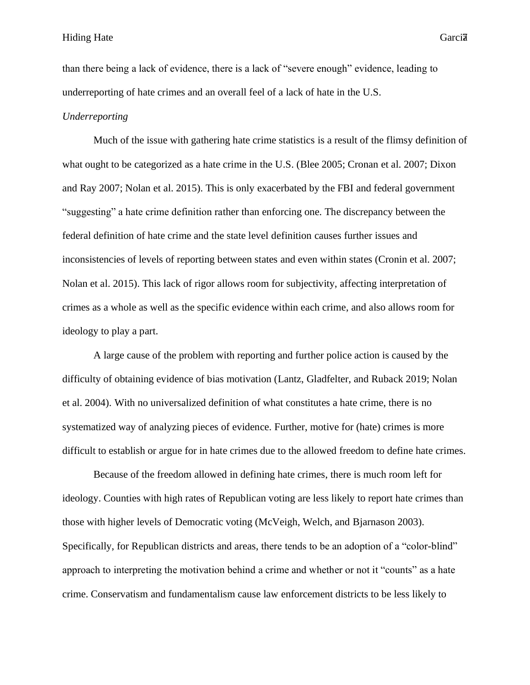than there being a lack of evidence, there is a lack of "severe enough" evidence, leading to underreporting of hate crimes and an overall feel of a lack of hate in the U.S.

# *Underreporting*

Much of the issue with gathering hate crime statistics is a result of the flimsy definition of what ought to be categorized as a hate crime in the U.S. (Blee 2005; Cronan et al. 2007; Dixon and Ray 2007; Nolan et al. 2015). This is only exacerbated by the FBI and federal government "suggesting" a hate crime definition rather than enforcing one. The discrepancy between the federal definition of hate crime and the state level definition causes further issues and inconsistencies of levels of reporting between states and even within states (Cronin et al. 2007; Nolan et al. 2015). This lack of rigor allows room for subjectivity, affecting interpretation of crimes as a whole as well as the specific evidence within each crime, and also allows room for ideology to play a part.

A large cause of the problem with reporting and further police action is caused by the difficulty of obtaining evidence of bias motivation (Lantz, Gladfelter, and Ruback 2019; Nolan et al. 2004). With no universalized definition of what constitutes a hate crime, there is no systematized way of analyzing pieces of evidence. Further, motive for (hate) crimes is more difficult to establish or argue for in hate crimes due to the allowed freedom to define hate crimes.

Because of the freedom allowed in defining hate crimes, there is much room left for ideology. Counties with high rates of Republican voting are less likely to report hate crimes than those with higher levels of Democratic voting (McVeigh, Welch, and Bjarnason 2003). Specifically, for Republican districts and areas, there tends to be an adoption of a "color-blind" approach to interpreting the motivation behind a crime and whether or not it "counts" as a hate crime. Conservatism and fundamentalism cause law enforcement districts to be less likely to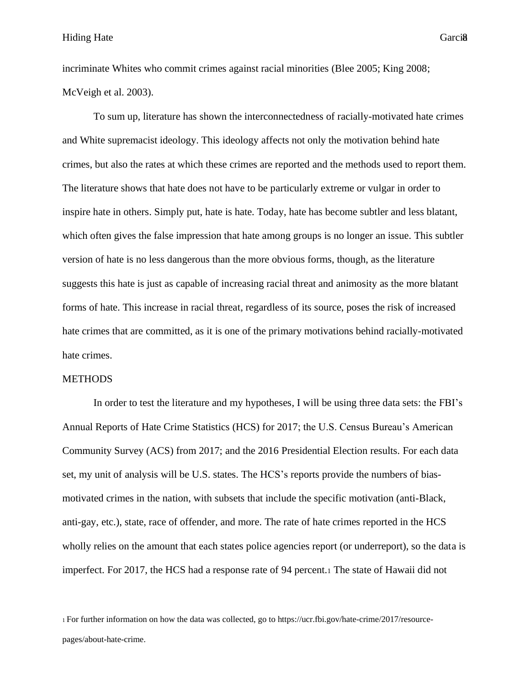incriminate Whites who commit crimes against racial minorities (Blee 2005; King 2008; McVeigh et al. 2003).

To sum up, literature has shown the interconnectedness of racially-motivated hate crimes and White supremacist ideology. This ideology affects not only the motivation behind hate crimes, but also the rates at which these crimes are reported and the methods used to report them. The literature shows that hate does not have to be particularly extreme or vulgar in order to inspire hate in others. Simply put, hate is hate. Today, hate has become subtler and less blatant, which often gives the false impression that hate among groups is no longer an issue. This subtler version of hate is no less dangerous than the more obvious forms, though, as the literature suggests this hate is just as capable of increasing racial threat and animosity as the more blatant forms of hate. This increase in racial threat, regardless of its source, poses the risk of increased hate crimes that are committed, as it is one of the primary motivations behind racially-motivated hate crimes.

#### METHODS

In order to test the literature and my hypotheses, I will be using three data sets: the FBI's Annual Reports of Hate Crime Statistics (HCS) for 2017; the U.S. Census Bureau's American Community Survey (ACS) from 2017; and the 2016 Presidential Election results. For each data set, my unit of analysis will be U.S. states. The HCS's reports provide the numbers of biasmotivated crimes in the nation, with subsets that include the specific motivation (anti-Black, anti-gay, etc.), state, race of offender, and more. The rate of hate crimes reported in the HCS wholly relies on the amount that each states police agencies report (or underreport), so the data is imperfect. For 2017, the HCS had a response rate of 94 percent.<sup>1</sup> The state of Hawaii did not

1 For further information on how the data was collected, go to https://ucr.fbi.gov/hate-crime/2017/resource-

pages/about-hate-crime.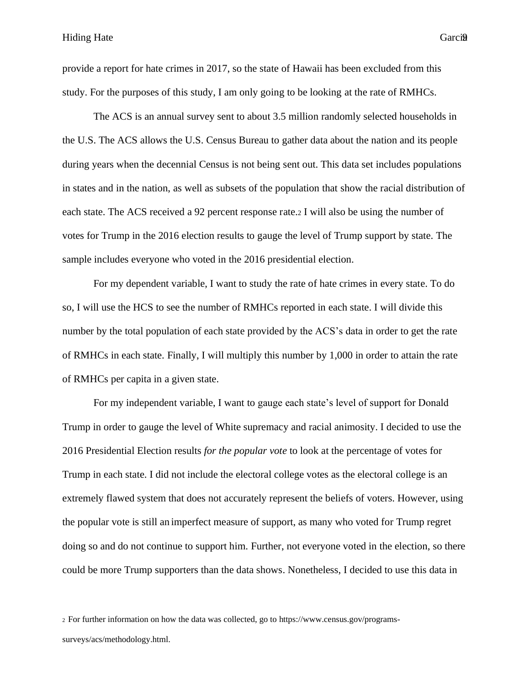9provide a report for hate crimes in 2017, so the state of Hawaii has been excluded from this study. For the purposes of this study, I am only going to be looking at the rate of RMHCs.

The ACS is an annual survey sent to about 3.5 million randomly selected households in the U.S. The ACS allows the U.S. Census Bureau to gather data about the nation and its people during years when the decennial Census is not being sent out. This data set includes populations in states and in the nation, as well as subsets of the population that show the racial distribution of each state. The ACS received a 92 percent response rate.<sup>2</sup> I will also be using the number of votes for Trump in the 2016 election results to gauge the level of Trump support by state. The sample includes everyone who voted in the 2016 presidential election.

For my dependent variable, I want to study the rate of hate crimes in every state. To do so, I will use the HCS to see the number of RMHCs reported in each state. I will divide this number by the total population of each state provided by the ACS's data in order to get the rate of RMHCs in each state. Finally, I will multiply this number by 1,000 in order to attain the rate of RMHCs per capita in a given state.

For my independent variable, I want to gauge each state's level of support for Donald Trump in order to gauge the level of White supremacy and racial animosity. I decided to use the 2016 Presidential Election results *for the popular vote* to look at the percentage of votes for Trump in each state. I did not include the electoral college votes as the electoral college is an extremely flawed system that does not accurately represent the beliefs of voters. However, using the popular vote is still an imperfect measure of support, as many who voted for Trump regret doing so and do not continue to support him. Further, not everyone voted in the election, so there could be more Trump supporters than the data shows. Nonetheless, I decided to use this data in

2 For further information on how the data was collected, go to https://www.census.gov/programs-

surveys/acs/methodology.html.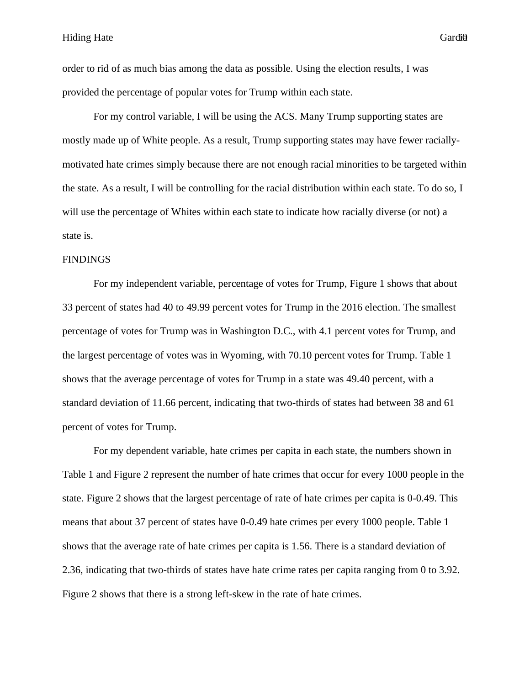order to rid of as much bias among the data as possible. Using the election results, I was provided the percentage of popular votes for Trump within each state.

For my control variable, I will be using the ACS. Many Trump supporting states are mostly made up of White people. As a result, Trump supporting states may have fewer raciallymotivated hate crimes simply because there are not enough racial minorities to be targeted within the state. As a result, I will be controlling for the racial distribution within each state. To do so, I will use the percentage of Whites within each state to indicate how racially diverse (or not) a state is.

#### **FINDINGS**

For my independent variable, percentage of votes for Trump, Figure 1 shows that about 33 percent of states had 40 to 49.99 percent votes for Trump in the 2016 election. The smallest percentage of votes for Trump was in Washington D.C., with 4.1 percent votes for Trump, and the largest percentage of votes was in Wyoming, with 70.10 percent votes for Trump. Table 1 shows that the average percentage of votes for Trump in a state was 49.40 percent, with a standard deviation of 11.66 percent, indicating that two-thirds of states had between 38 and 61 percent of votes for Trump.

For my dependent variable, hate crimes per capita in each state, the numbers shown in Table 1 and Figure 2 represent the number of hate crimes that occur for every 1000 people in the state. Figure 2 shows that the largest percentage of rate of hate crimes per capita is 0-0.49. This means that about 37 percent of states have 0-0.49 hate crimes per every 1000 people. Table 1 shows that the average rate of hate crimes per capita is 1.56. There is a standard deviation of 2.36, indicating that two-thirds of states have hate crime rates per capita ranging from 0 to 3.92. Figure 2 shows that there is a strong left-skew in the rate of hate crimes.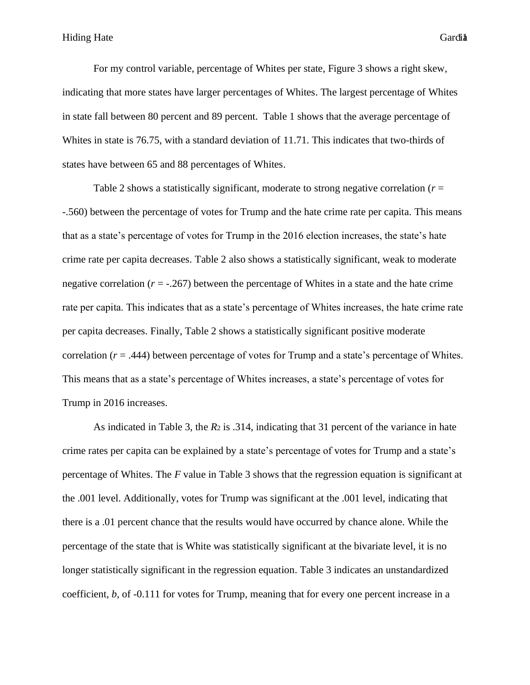For my control variable, percentage of Whites per state, Figure 3 shows a right skew, indicating that more states have larger percentages of Whites. The largest percentage of Whites in state fall between 80 percent and 89 percent. Table 1 shows that the average percentage of Whites in state is 76.75, with a standard deviation of 11.71. This indicates that two-thirds of states have between 65 and 88 percentages of Whites.

Table 2 shows a statistically significant, moderate to strong negative correlation (*r* = -.560) between the percentage of votes for Trump and the hate crime rate per capita. This means that as a state's percentage of votes for Trump in the 2016 election increases, the state's hate crime rate per capita decreases. Table 2 also shows a statistically significant, weak to moderate negative correlation  $(r = -0.267)$  between the percentage of Whites in a state and the hate crime rate per capita. This indicates that as a state's percentage of Whites increases, the hate crime rate per capita decreases. Finally, Table 2 shows a statistically significant positive moderate correlation  $(r = .444)$  between percentage of votes for Trump and a state's percentage of Whites. This means that as a state's percentage of Whites increases, a state's percentage of votes for Trump in 2016 increases.

As indicated in Table 3, the *R*<sub>2</sub> is .314, indicating that 31 percent of the variance in hate crime rates per capita can be explained by a state's percentage of votes for Trump and a state's percentage of Whites. The *F* value in Table 3 shows that the regression equation is significant at the .001 level. Additionally, votes for Trump was significant at the .001 level, indicating that there is a .01 percent chance that the results would have occurred by chance alone. While the percentage of the state that is White was statistically significant at the bivariate level, it is no longer statistically significant in the regression equation. Table 3 indicates an unstandardized coefficient, *b,* of -0.111 for votes for Trump, meaning that for every one percent increase in a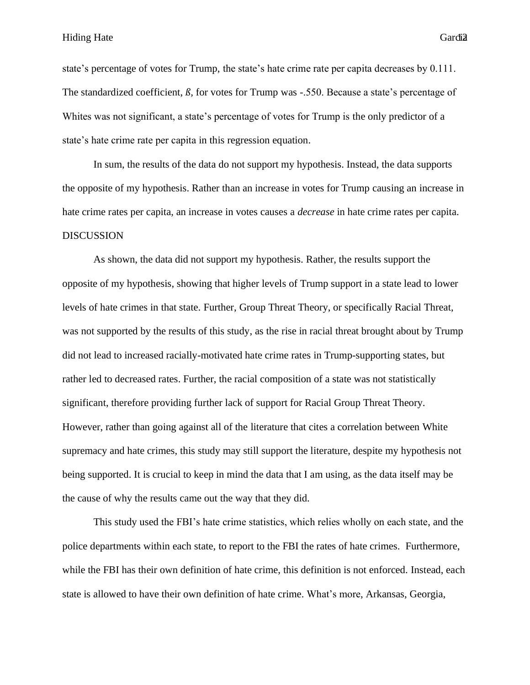Hiding Hate Garcia

state's percentage of votes for Trump, the state's hate crime rate per capita decreases by 0.111. The standardized coefficient, *ß,* for votes for Trump was -.550. Because a state's percentage of Whites was not significant, a state's percentage of votes for Trump is the only predictor of a state's hate crime rate per capita in this regression equation.

In sum, the results of the data do not support my hypothesis. Instead, the data supports the opposite of my hypothesis. Rather than an increase in votes for Trump causing an increase in hate crime rates per capita, an increase in votes causes a *decrease* in hate crime rates per capita. DISCUSSION

As shown, the data did not support my hypothesis. Rather, the results support the opposite of my hypothesis, showing that higher levels of Trump support in a state lead to lower levels of hate crimes in that state. Further, Group Threat Theory, or specifically Racial Threat, was not supported by the results of this study, as the rise in racial threat brought about by Trump did not lead to increased racially-motivated hate crime rates in Trump-supporting states, but rather led to decreased rates. Further, the racial composition of a state was not statistically significant, therefore providing further lack of support for Racial Group Threat Theory. However, rather than going against all of the literature that cites a correlation between White supremacy and hate crimes, this study may still support the literature, despite my hypothesis not being supported. It is crucial to keep in mind the data that I am using, as the data itself may be the cause of why the results came out the way that they did.

This study used the FBI's hate crime statistics, which relies wholly on each state, and the police departments within each state, to report to the FBI the rates of hate crimes. Furthermore, while the FBI has their own definition of hate crime, this definition is not enforced. Instead, each state is allowed to have their own definition of hate crime. What's more, Arkansas, Georgia,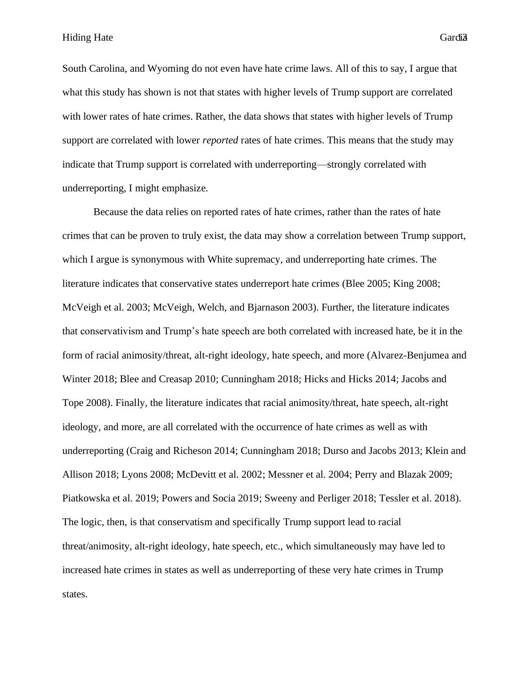South Carolina, and Wyoming do not even have hate crime laws*.* All of this to say, I argue that what this study has shown is not that states with higher levels of Trump support are correlated with lower rates of hate crimes. Rather, the data shows that states with higher levels of Trump support are correlated with lower *reported* rates of hate crimes. This means that the study may indicate that Trump support is correlated with underreporting—strongly correlated with underreporting, I might emphasize.

Because the data relies on reported rates of hate crimes, rather than the rates of hate crimes that can be proven to truly exist, the data may show a correlation between Trump support, which I argue is synonymous with White supremacy, and underreporting hate crimes. The literature indicates that conservative states underreport hate crimes (Blee 2005; King 2008; McVeigh et al. 2003; McVeigh, Welch, and Bjarnason 2003). Further, the literature indicates that conservativism and Trump's hate speech are both correlated with increased hate, be it in the form of racial animosity/threat, alt-right ideology, hate speech, and more (Alvarez-Benjumea and Winter 2018; Blee and Creasap 2010; Cunningham 2018; Hicks and Hicks 2014; Jacobs and Tope 2008). Finally, the literature indicates that racial animosity/threat, hate speech, alt-right ideology, and more, are all correlated with the occurrence of hate crimes as well as with underreporting (Craig and Richeson 2014; Cunningham 2018; Durso and Jacobs 2013; Klein and Allison 2018; Lyons 2008; McDevitt et al. 2002; Messner et al. 2004; Perry and Blazak 2009; Piatkowska et al. 2019; Powers and Socia 2019; Sweeny and Perliger 2018; Tessler et al. 2018). The logic, then, is that conservatism and specifically Trump support lead to racial threat/animosity, alt-right ideology, hate speech, etc., which simultaneously may have led to increased hate crimes in states as well as underreporting of these very hate crimes in Trump states.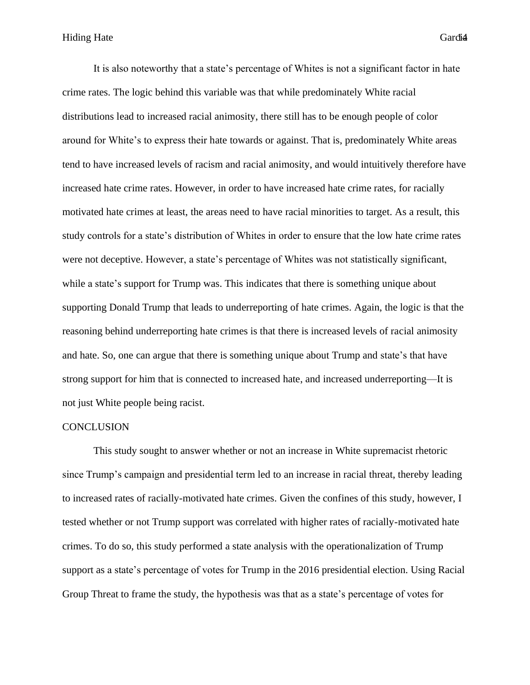It is also noteworthy that a state's percentage of Whites is not a significant factor in hate crime rates. The logic behind this variable was that while predominately White racial distributions lead to increased racial animosity, there still has to be enough people of color around for White's to express their hate towards or against. That is, predominately White areas tend to have increased levels of racism and racial animosity, and would intuitively therefore have increased hate crime rates. However, in order to have increased hate crime rates, for racially motivated hate crimes at least, the areas need to have racial minorities to target. As a result, this study controls for a state's distribution of Whites in order to ensure that the low hate crime rates were not deceptive. However, a state's percentage of Whites was not statistically significant, while a state's support for Trump was. This indicates that there is something unique about supporting Donald Trump that leads to underreporting of hate crimes. Again, the logic is that the reasoning behind underreporting hate crimes is that there is increased levels of racial animosity and hate. So, one can argue that there is something unique about Trump and state's that have strong support for him that is connected to increased hate, and increased underreporting—It is not just White people being racist.

#### **CONCLUSION**

This study sought to answer whether or not an increase in White supremacist rhetoric since Trump's campaign and presidential term led to an increase in racial threat, thereby leading to increased rates of racially-motivated hate crimes. Given the confines of this study, however, I tested whether or not Trump support was correlated with higher rates of racially-motivated hate crimes. To do so, this study performed a state analysis with the operationalization of Trump support as a state's percentage of votes for Trump in the 2016 presidential election. Using Racial Group Threat to frame the study, the hypothesis was that as a state's percentage of votes for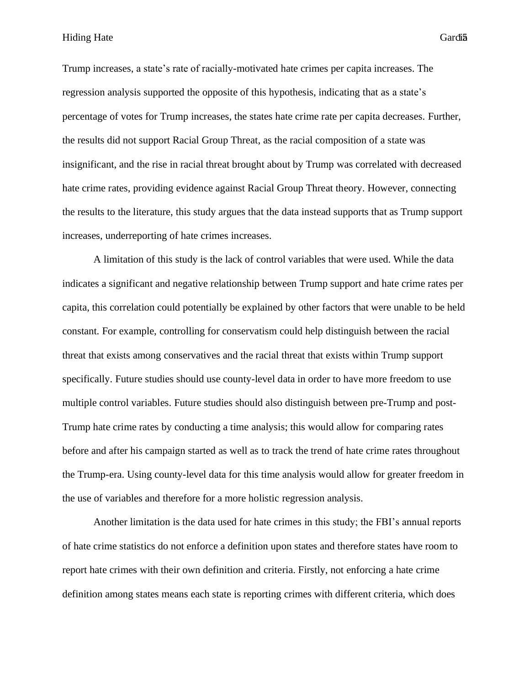Hiding Hate Gardia

Trump increases, a state's rate of racially-motivated hate crimes per capita increases. The regression analysis supported the opposite of this hypothesis, indicating that as a state's percentage of votes for Trump increases, the states hate crime rate per capita decreases. Further, the results did not support Racial Group Threat, as the racial composition of a state was insignificant, and the rise in racial threat brought about by Trump was correlated with decreased hate crime rates, providing evidence against Racial Group Threat theory. However, connecting the results to the literature, this study argues that the data instead supports that as Trump support increases, underreporting of hate crimes increases.

A limitation of this study is the lack of control variables that were used. While the data indicates a significant and negative relationship between Trump support and hate crime rates per capita, this correlation could potentially be explained by other factors that were unable to be held constant. For example, controlling for conservatism could help distinguish between the racial threat that exists among conservatives and the racial threat that exists within Trump support specifically. Future studies should use county-level data in order to have more freedom to use multiple control variables. Future studies should also distinguish between pre-Trump and post-Trump hate crime rates by conducting a time analysis; this would allow for comparing rates before and after his campaign started as well as to track the trend of hate crime rates throughout the Trump-era. Using county-level data for this time analysis would allow for greater freedom in the use of variables and therefore for a more holistic regression analysis.

Another limitation is the data used for hate crimes in this study; the FBI's annual reports of hate crime statistics do not enforce a definition upon states and therefore states have room to report hate crimes with their own definition and criteria. Firstly, not enforcing a hate crime definition among states means each state is reporting crimes with different criteria, which does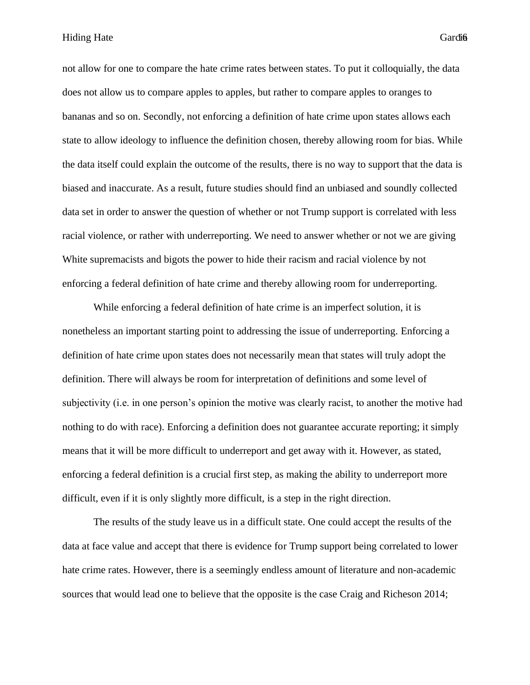not allow for one to compare the hate crime rates between states. To put it colloquially, the data does not allow us to compare apples to apples, but rather to compare apples to oranges to bananas and so on. Secondly, not enforcing a definition of hate crime upon states allows each state to allow ideology to influence the definition chosen, thereby allowing room for bias. While the data itself could explain the outcome of the results, there is no way to support that the data is biased and inaccurate. As a result, future studies should find an unbiased and soundly collected data set in order to answer the question of whether or not Trump support is correlated with less racial violence, or rather with underreporting. We need to answer whether or not we are giving White supremacists and bigots the power to hide their racism and racial violence by not enforcing a federal definition of hate crime and thereby allowing room for underreporting.

While enforcing a federal definition of hate crime is an imperfect solution, it is nonetheless an important starting point to addressing the issue of underreporting. Enforcing a definition of hate crime upon states does not necessarily mean that states will truly adopt the definition. There will always be room for interpretation of definitions and some level of subjectivity (i.e. in one person's opinion the motive was clearly racist, to another the motive had nothing to do with race). Enforcing a definition does not guarantee accurate reporting; it simply means that it will be more difficult to underreport and get away with it. However, as stated, enforcing a federal definition is a crucial first step, as making the ability to underreport more difficult, even if it is only slightly more difficult, is a step in the right direction.

The results of the study leave us in a difficult state. One could accept the results of the data at face value and accept that there is evidence for Trump support being correlated to lower hate crime rates. However, there is a seemingly endless amount of literature and non-academic sources that would lead one to believe that the opposite is the case Craig and Richeson 2014;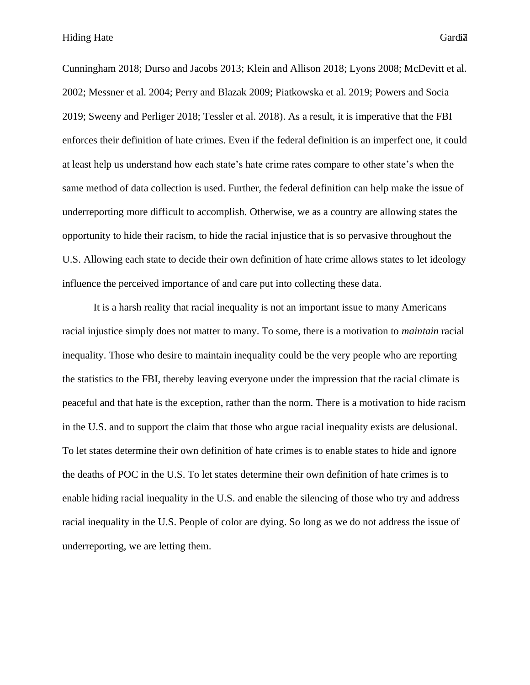Cunningham 2018; Durso and Jacobs 2013; Klein and Allison 2018; Lyons 2008; McDevitt et al. 2002; Messner et al. 2004; Perry and Blazak 2009; Piatkowska et al. 2019; Powers and Socia 2019; Sweeny and Perliger 2018; Tessler et al. 2018). As a result, it is imperative that the FBI enforces their definition of hate crimes. Even if the federal definition is an imperfect one, it could at least help us understand how each state's hate crime rates compare to other state's when the same method of data collection is used. Further, the federal definition can help make the issue of underreporting more difficult to accomplish. Otherwise, we as a country are allowing states the opportunity to hide their racism, to hide the racial injustice that is so pervasive throughout the U.S. Allowing each state to decide their own definition of hate crime allows states to let ideology influence the perceived importance of and care put into collecting these data.

It is a harsh reality that racial inequality is not an important issue to many Americans racial injustice simply does not matter to many. To some, there is a motivation to *maintain* racial inequality. Those who desire to maintain inequality could be the very people who are reporting the statistics to the FBI, thereby leaving everyone under the impression that the racial climate is peaceful and that hate is the exception, rather than the norm. There is a motivation to hide racism in the U.S. and to support the claim that those who argue racial inequality exists are delusional. To let states determine their own definition of hate crimes is to enable states to hide and ignore the deaths of POC in the U.S. To let states determine their own definition of hate crimes is to enable hiding racial inequality in the U.S. and enable the silencing of those who try and address racial inequality in the U.S. People of color are dying. So long as we do not address the issue of underreporting, we are letting them.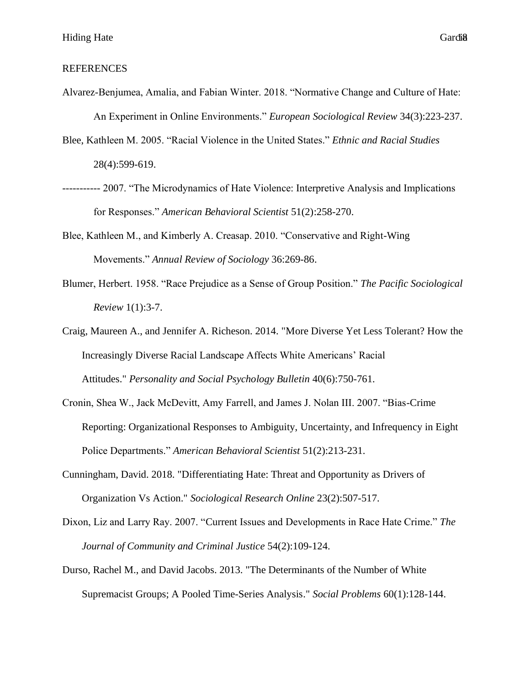## REFERENCES

- Alvarez-Benjumea, Amalia, and Fabian Winter. 2018. "Normative Change and Culture of Hate: An Experiment in Online Environments." *European Sociological Review* 34(3):223-237.
- Blee, Kathleen M. 2005. "Racial Violence in the United States." *Ethnic and Racial Studies*  28(4):599-619.
- ----------- 2007. "The Microdynamics of Hate Violence: Interpretive Analysis and Implications for Responses." *American Behavioral Scientist* 51(2):258-270.
- Blee, Kathleen M., and Kimberly A. Creasap. 2010. "Conservative and Right-Wing Movements." *Annual Review of Sociology* 36:269-86.
- Blumer, Herbert. 1958. "Race Prejudice as a Sense of Group Position." *The Pacific Sociological Review* 1(1):3-7.
- Craig, Maureen A., and Jennifer A. Richeson. 2014. "More Diverse Yet Less Tolerant? How the Increasingly Diverse Racial Landscape Affects White Americans' Racial Attitudes." *Personality and Social Psychology Bulletin* 40(6):750-761.
- Cronin, Shea W., Jack McDevitt, Amy Farrell, and James J. Nolan III. 2007. "Bias-Crime Reporting: Organizational Responses to Ambiguity, Uncertainty, and Infrequency in Eight Police Departments." *American Behavioral Scientist* 51(2):213-231.
- Cunningham, David. 2018. "Differentiating Hate: Threat and Opportunity as Drivers of Organization Vs Action." *Sociological Research Online* 23(2):507-517.
- Dixon, Liz and Larry Ray. 2007. "Current Issues and Developments in Race Hate Crime." *The Journal of Community and Criminal Justice* 54(2):109-124.
- Durso, Rachel M., and David Jacobs. 2013. "The Determinants of the Number of White Supremacist Groups; A Pooled Time-Series Analysis." *Social Problems* 60(1):128-144.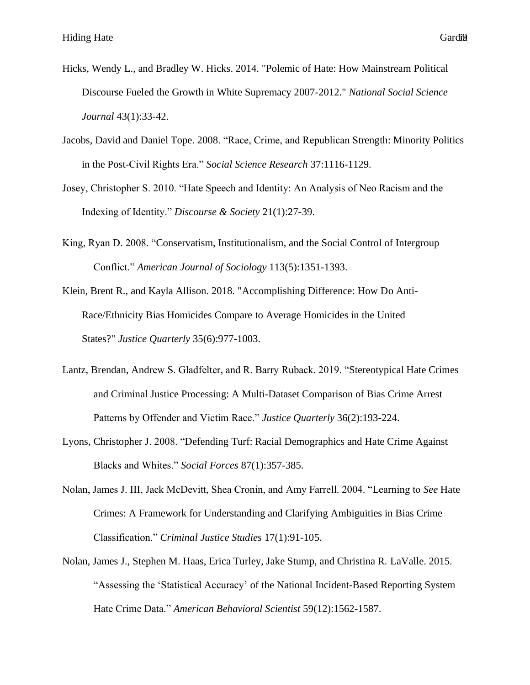- Hicks, Wendy L., and Bradley W. Hicks. 2014. "Polemic of Hate: How Mainstream Political Discourse Fueled the Growth in White Supremacy 2007-2012." *National Social Science Journal* 43(1):33-42.
- Jacobs, David and Daniel Tope. 2008. "Race, Crime, and Republican Strength: Minority Politics in the Post-Civil Rights Era." *Social Science Research* 37:1116-1129.
- Josey, Christopher S. 2010. "Hate Speech and Identity: An Analysis of Neo Racism and the Indexing of Identity." *Discourse & Society* 21(1):27-39.
- King, Ryan D. 2008. "Conservatism, Institutionalism, and the Social Control of Intergroup Conflict." *American Journal of Sociology* 113(5):1351-1393.
- Klein, Brent R., and Kayla Allison. 2018. "Accomplishing Difference: How Do Anti-Race/Ethnicity Bias Homicides Compare to Average Homicides in the United States?" *Justice Quarterly* 35(6):977-1003.
- Lantz, Brendan, Andrew S. Gladfelter, and R. Barry Ruback. 2019. "Stereotypical Hate Crimes and Criminal Justice Processing: A Multi-Dataset Comparison of Bias Crime Arrest Patterns by Offender and Victim Race." *Justice Quarterly* 36(2):193-224.
- Lyons, Christopher J. 2008. "Defending Turf: Racial Demographics and Hate Crime Against Blacks and Whites." *Social Forces* 87(1):357-385.
- Nolan, James J. III, Jack McDevitt, Shea Cronin, and Amy Farrell. 2004. "Learning to *See* Hate Crimes: A Framework for Understanding and Clarifying Ambiguities in Bias Crime Classification." *Criminal Justice Studies* 17(1):91-105.
- Nolan, James J., Stephen M. Haas, Erica Turley, Jake Stump, and Christina R. LaValle. 2015. "Assessing the 'Statistical Accuracy' of the National Incident-Based Reporting System Hate Crime Data." *American Behavioral Scientist* 59(12):1562-1587.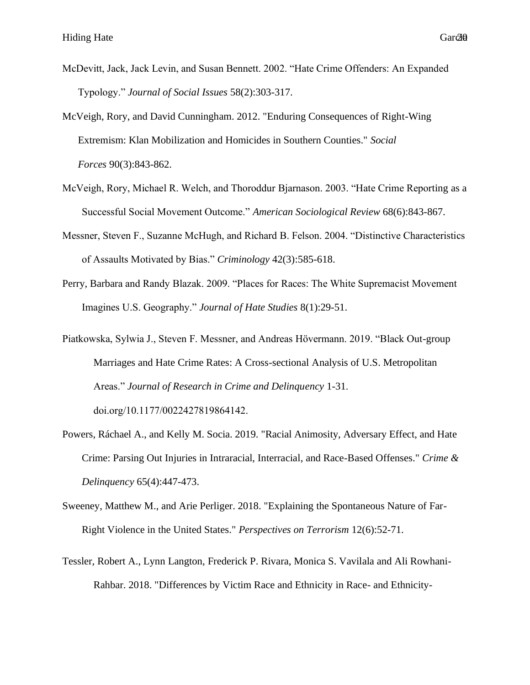- McDevitt, Jack, Jack Levin, and Susan Bennett. 2002. "Hate Crime Offenders: An Expanded Typology." *Journal of Social Issues* 58(2):303-317.
- McVeigh, Rory, and David Cunningham. 2012. "Enduring Consequences of Right-Wing Extremism: Klan Mobilization and Homicides in Southern Counties." *Social Forces* 90(3):843-862.
- McVeigh, Rory, Michael R. Welch, and Thoroddur Bjarnason. 2003. "Hate Crime Reporting as a Successful Social Movement Outcome." *American Sociological Review* 68(6):843-867.
- Messner, Steven F., Suzanne McHugh, and Richard B. Felson. 2004. "Distinctive Characteristics of Assaults Motivated by Bias." *Criminology* 42(3):585-618.
- Perry, Barbara and Randy Blazak. 2009. "Places for Races: The White Supremacist Movement Imagines U.S. Geography." *Journal of Hate Studies* 8(1):29-51.
- Piatkowska, Sylwia J., Steven F. Messner, and Andreas Hövermann. 2019. "Black Out-group Marriages and Hate Crime Rates: A Cross-sectional Analysis of U.S. Metropolitan Areas." *Journal of Research in Crime and Delinquency* 1-31. doi.org/10.1177/0022427819864142.
- Powers, Ráchael A., and Kelly M. Socia. 2019. "Racial Animosity, Adversary Effect, and Hate Crime: Parsing Out Injuries in Intraracial, Interracial, and Race-Based Offenses." *Crime & Delinquency* 65(4):447-473.
- Sweeney, Matthew M., and Arie Perliger. 2018. "Explaining the Spontaneous Nature of Far-Right Violence in the United States." *Perspectives on Terrorism* 12(6):52-71.
- Tessler, Robert A., Lynn Langton, Frederick P. Rivara, Monica S. Vavilala and Ali Rowhani-Rahbar. 2018. "Differences by Victim Race and Ethnicity in Race- and Ethnicity-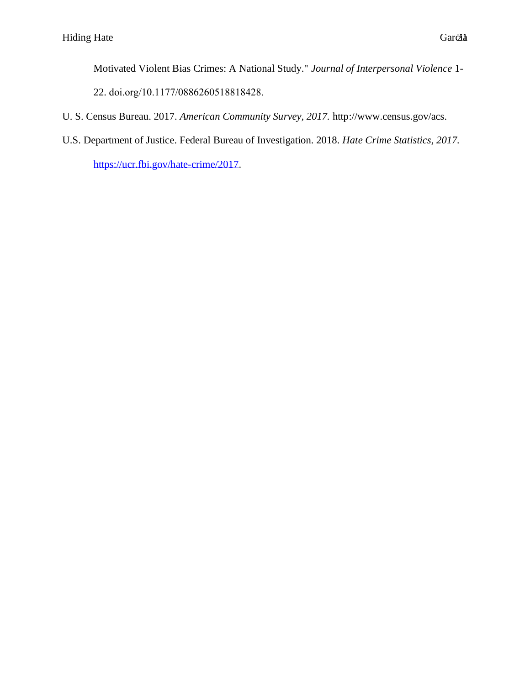Motivated Violent Bias Crimes: A National Study." *Journal of Interpersonal Violence* 1-

22. doi.org/10.1177/0886260518818428.

- U. S. Census Bureau. 2017. *American Community Survey, 2017.* http://www.census.gov/acs.
- U.S. Department of Justice. Federal Bureau of Investigation. 2018. *Hate Crime Statistics, 2017.*

[https://ucr.fbi.gov/hate-crime/2017.](https://ucr.fbi.gov/hate-crime/2017)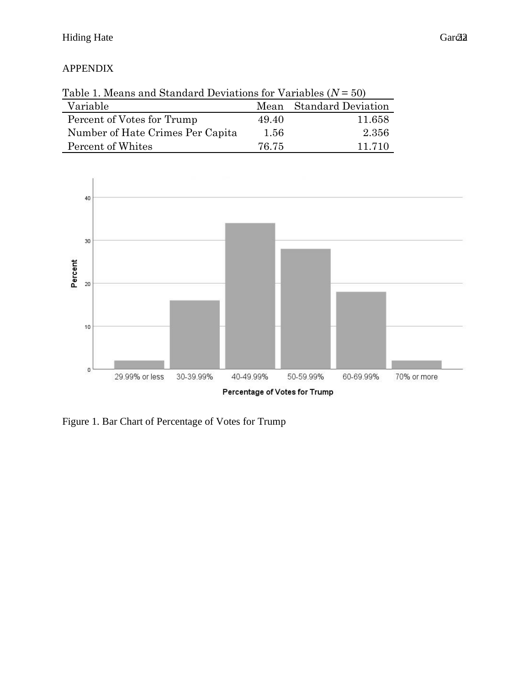# APPENDIX

| Table 1. Means and Standard Deviations for Variables $(N = 50)$ |       |                         |  |  |  |
|-----------------------------------------------------------------|-------|-------------------------|--|--|--|
| Variable                                                        |       | Mean Standard Deviation |  |  |  |
| Percent of Votes for Trump                                      | 49.40 | 11.658                  |  |  |  |
| Number of Hate Crimes Per Capita                                | 1.56  | 2.356                   |  |  |  |
| Percent of Whites                                               | 76 75 | 11 710                  |  |  |  |



Figure 1. Bar Chart of Percentage of Votes for Trump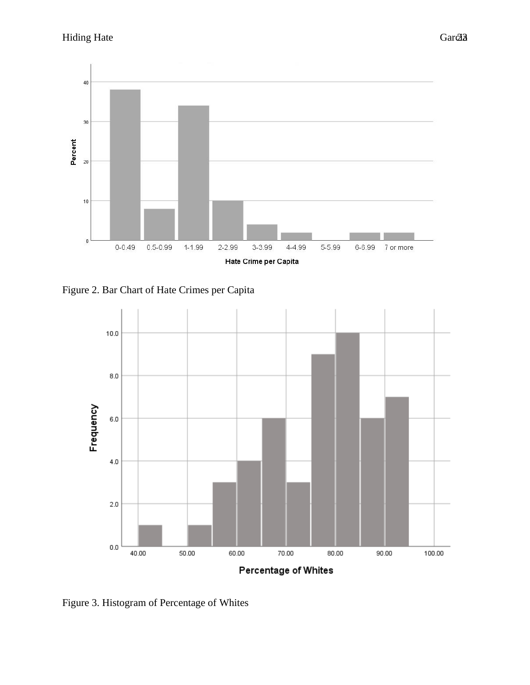

Figure 2. Bar Chart of Hate Crimes per Capita



Figure 3. Histogram of Percentage of Whites